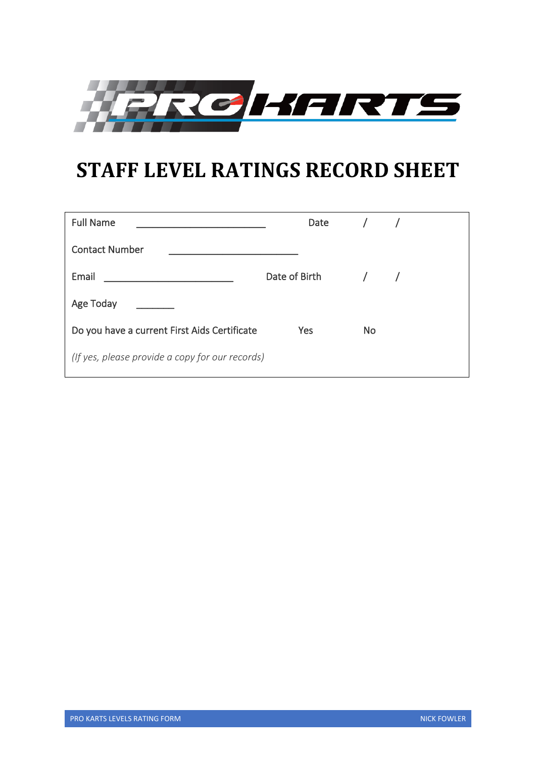

# **STAFF LEVEL RATINGS RECORD SHEET**

| <b>Full Name</b>                                | Date / /          |           |  |
|-------------------------------------------------|-------------------|-----------|--|
| <b>Contact Number</b>                           |                   |           |  |
| Email                                           | Date of Birth / / |           |  |
| Age Today                                       |                   |           |  |
| Do you have a current First Aids Certificate    | Yes               | <b>No</b> |  |
| (If yes, please provide a copy for our records) |                   |           |  |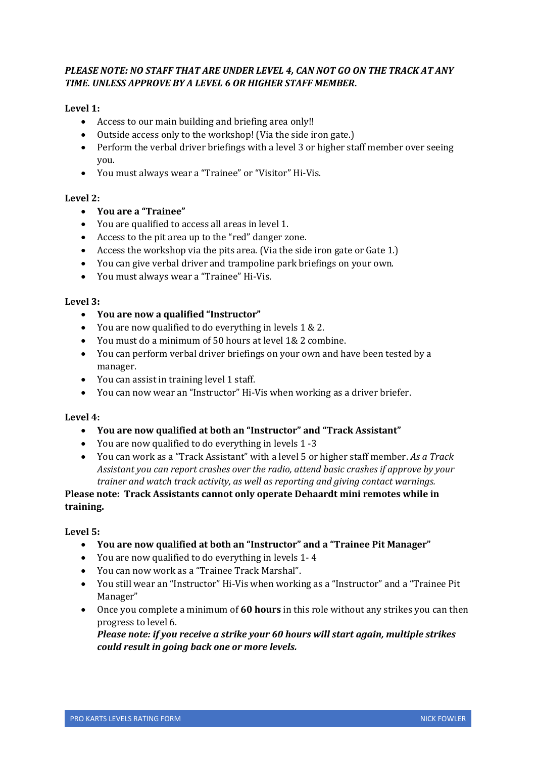## *PLEASE NOTE: NO STAFF THAT ARE UNDER LEVEL 4, CAN NOT GO ON THE TRACK AT ANY TIME. UNLESS APPROVE BY A LEVEL 6 OR HIGHER STAFF MEMBER***.**

## **Level 1:**

- Access to our main building and briefing area only!!
- Outside access only to the workshop! (Via the side iron gate.)
- Perform the verbal driver briefings with a level 3 or higher staff member over seeing you.
- You must always wear a "Trainee" or "Visitor" Hi-Vis.

## **Level 2:**

- **You are a "Trainee"**
- You are qualified to access all areas in level 1.
- Access to the pit area up to the "red" danger zone.
- Access the workshop via the pits area. (Via the side iron gate or Gate 1.)
- You can give verbal driver and trampoline park briefings on your own.
- You must always wear a "Trainee" Hi-Vis.

## **Level 3:**

- **You are now a qualified "Instructor"**
- You are now qualified to do everything in levels 1 & 2.
- You must do a minimum of 50 hours at level 1& 2 combine.
- You can perform verbal driver briefings on your own and have been tested by a manager.
- You can assist in training level 1 staff.
- You can now wear an "Instructor" Hi-Vis when working as a driver briefer.

## **Level 4:**

- **You are now qualified at both an "Instructor" and "Track Assistant"**
- You are now qualified to do everything in levels 1 -3
- You can work as a "Track Assistant" with a level 5 or higher staff member. *As a Track Assistant you can report crashes over the radio, attend basic crashes if approve by your trainer and watch track activity, as well as reporting and giving contact warnings.*

## **Please note: Track Assistants cannot only operate Dehaardt mini remotes while in training.**

## **Level 5:**

- **You are now qualified at both an "Instructor" and a "Trainee Pit Manager"**
- You are now qualified to do everything in levels 1- 4
- You can now work as a "Trainee Track Marshal".
- You still wear an "Instructor" Hi-Vis when working as a "Instructor" and a "Trainee Pit Manager"
- Once you complete a minimum of **60 hours** in this role without any strikes you can then progress to level 6.

*Please note: if you receive a strike your 60 hours will start again, multiple strikes could result in going back one or more levels.*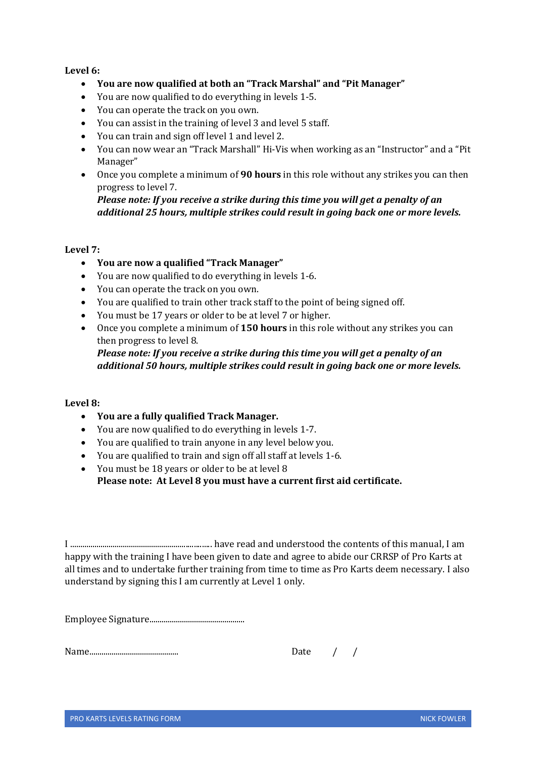## **Level 6:**

- **You are now qualified at both an "Track Marshal" and "Pit Manager"**
- You are now qualified to do everything in levels 1-5.
- You can operate the track on you own.
- You can assist in the training of level 3 and level 5 staff.
- You can train and sign off level 1 and level 2.
- You can now wear an "Track Marshall" Hi-Vis when working as an "Instructor" and a "Pit Manager"
- Once you complete a minimum of **90 hours** in this role without any strikes you can then progress to level 7.

*Please note: If you receive a strike during this time you will get a penalty of an additional 25 hours, multiple strikes could result in going back one or more levels.*

## **Level 7:**

- **You are now a qualified "Track Manager"**
- You are now qualified to do everything in levels 1-6.
- You can operate the track on you own.
- You are qualified to train other track staff to the point of being signed off.
- You must be 17 years or older to be at level 7 or higher.
- Once you complete a minimum of **150 hours** in this role without any strikes you can then progress to level 8.

*Please note: If you receive a strike during this time you will get a penalty of an additional 50 hours, multiple strikes could result in going back one or more levels.*

## **Level 8:**

- **You are a fully qualified Track Manager.**
- You are now qualified to do everything in levels 1-7.
- You are qualified to train anyone in any level below you.
- You are qualified to train and sign off all staff at levels 1-6.
- You must be 18 years or older to be at level 8 **Please note: At Level 8 you must have a current first aid certificate.**

I ...................................................................... have read and understood the contents of this manual, I am happy with the training I have been given to date and agree to abide our CRRSP of Pro Karts at all times and to undertake further training from time to time as Pro Karts deem necessary. I also understand by signing this I am currently at Level 1 only.

Employee Signature...............................................

Name............................................ Date / /

| )ate |  |
|------|--|
|      |  |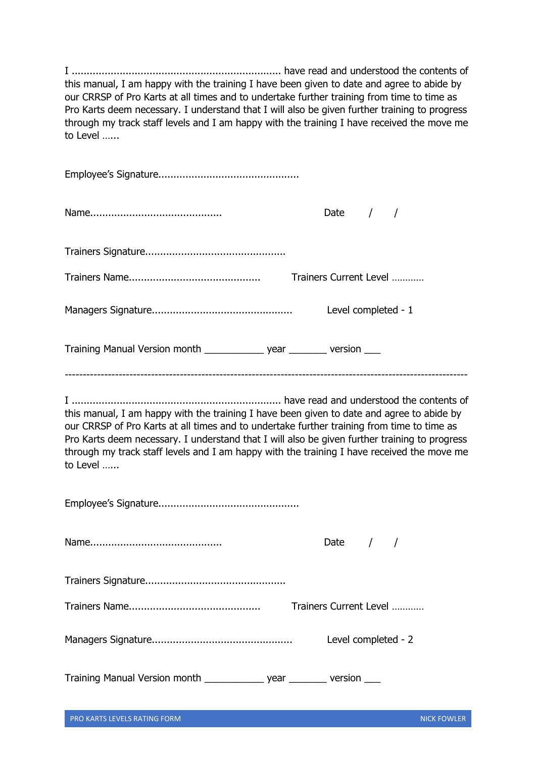|                                                                           | Date $/$ /             |
|---------------------------------------------------------------------------|------------------------|
|                                                                           |                        |
|                                                                           | Trainers Current Level |
|                                                                           | Level completed - 1    |
| Training Manual Version month _______________ year _________ version ____ |                        |
|                                                                           |                        |

|  | Date $/$ /             |  |  |  |
|--|------------------------|--|--|--|
|  |                        |  |  |  |
|  | Trainers Current Level |  |  |  |
|  | Level completed - 2    |  |  |  |
|  |                        |  |  |  |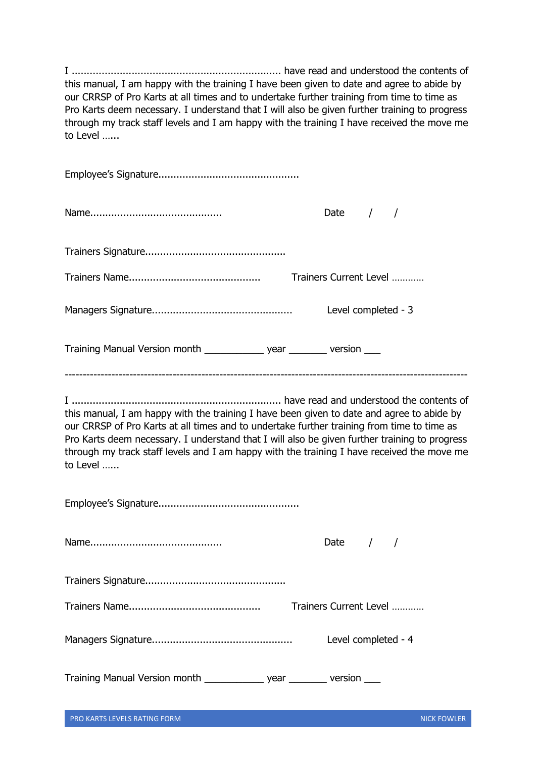|                                                                           | Date $/$ /             |
|---------------------------------------------------------------------------|------------------------|
|                                                                           |                        |
|                                                                           | Trainers Current Level |
|                                                                           | Level completed - 3    |
| Training Manual Version month _______________ year _________ version ____ |                        |
|                                                                           |                        |

|  | Date $/$ /             |  |  |  |
|--|------------------------|--|--|--|
|  |                        |  |  |  |
|  | Trainers Current Level |  |  |  |
|  | Level completed - 4    |  |  |  |
|  |                        |  |  |  |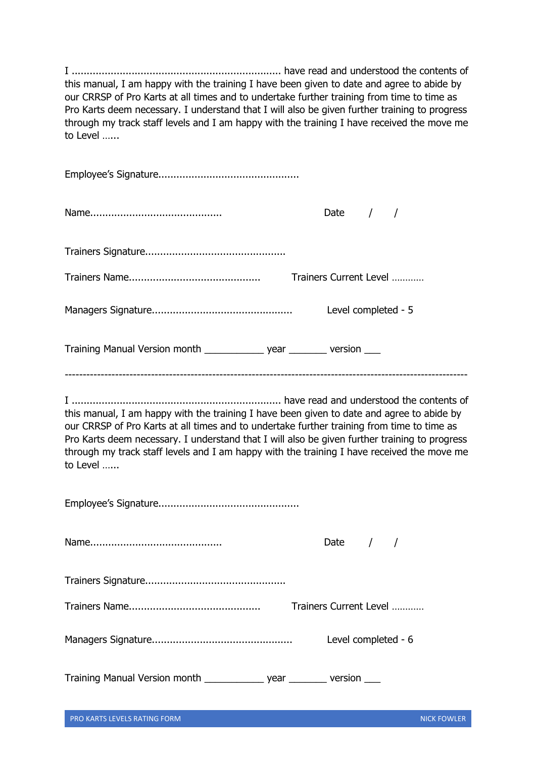|                                                                            | Date $/$ /             |
|----------------------------------------------------------------------------|------------------------|
|                                                                            |                        |
|                                                                            | Trainers Current Level |
|                                                                            | Level completed - 5    |
| Training Manual Version month _______________ year __________ version ____ |                        |
|                                                                            |                        |

|  | Date $/$ /             |  |  |  |
|--|------------------------|--|--|--|
|  |                        |  |  |  |
|  | Trainers Current Level |  |  |  |
|  | Level completed - 6    |  |  |  |
|  |                        |  |  |  |